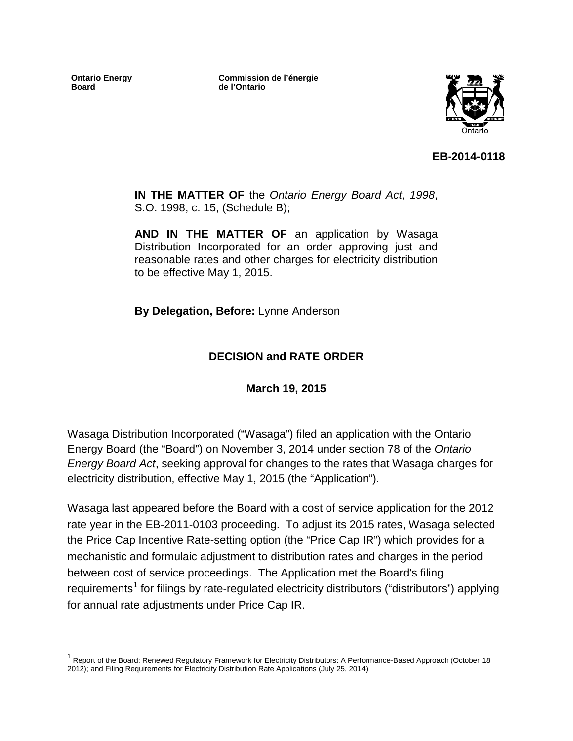**Ontario Energy Board**

**Commission de l'énergie de l'Ontario**



**EB-2014-0118**

**IN THE MATTER OF** the *Ontario Energy Board Act, 1998*, S.O. 1998, c. 15, (Schedule B);

**AND IN THE MATTER OF** an application by Wasaga Distribution Incorporated for an order approving just and reasonable rates and other charges for electricity distribution to be effective May 1, 2015.

**By Delegation, Before:** Lynne Anderson

## **DECISION and RATE ORDER**

**March 19, 2015**

Wasaga Distribution Incorporated ("Wasaga") filed an application with the Ontario Energy Board (the "Board") on November 3, 2014 under section 78 of the *Ontario Energy Board Act*, seeking approval for changes to the rates that Wasaga charges for electricity distribution, effective May 1, 2015 (the "Application").

Wasaga last appeared before the Board with a cost of service application for the 2012 rate year in the EB-2011-0103 proceeding. To adjust its 2015 rates, Wasaga selected the Price Cap Incentive Rate-setting option (the "Price Cap IR") which provides for a mechanistic and formulaic adjustment to distribution rates and charges in the period between cost of service proceedings. The Application met the Board's filing requirements<sup>[1](#page-0-0)</sup> for filings by rate-regulated electricity distributors ("distributors") applying for annual rate adjustments under Price Cap IR.

<span id="page-0-0"></span><sup>&</sup>lt;sup>1</sup> Report of the Board: Renewed Regulatory Framework for Electricity Distributors: A Performance-Based Approach (October 18, 2012); and Filing Requirements for Electricity Distribution Rate Applications (July 25, 2014)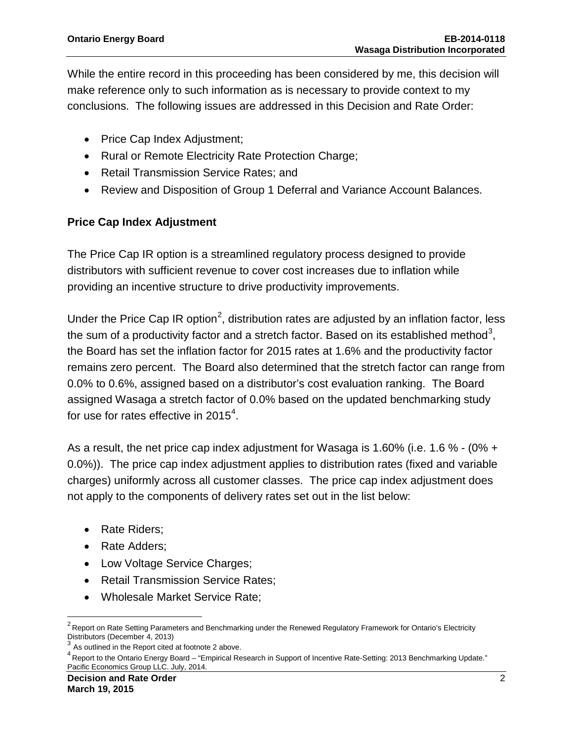While the entire record in this proceeding has been considered by me, this decision will make reference only to such information as is necessary to provide context to my conclusions. The following issues are addressed in this Decision and Rate Order:

- Price Cap Index Adjustment;
- Rural or Remote Electricity Rate Protection Charge;
- Retail Transmission Service Rates; and
- Review and Disposition of Group 1 Deferral and Variance Account Balances.

### **Price Cap Index Adjustment**

The Price Cap IR option is a streamlined regulatory process designed to provide distributors with sufficient revenue to cover cost increases due to inflation while providing an incentive structure to drive productivity improvements.

Under the Price Cap IR option<sup>[2](#page-1-0)</sup>, distribution rates are adjusted by an inflation factor, less the sum of a productivity factor and a stretch factor. Based on its established method<sup>[3](#page-1-1)</sup>, the Board has set the inflation factor for 2015 rates at 1.6% and the productivity factor remains zero percent. The Board also determined that the stretch factor can range from 0.0% to 0.6%, assigned based on a distributor's cost evaluation ranking. The Board assigned Wasaga a stretch factor of 0.0% based on the updated benchmarking study for use for rates effective in 2015<sup>[4](#page-1-2)</sup>.

As a result, the net price cap index adjustment for Wasaga is 1.60% (i.e. 1.6 % - (0% + 0.0%)). The price cap index adjustment applies to distribution rates (fixed and variable charges) uniformly across all customer classes. The price cap index adjustment does not apply to the components of delivery rates set out in the list below:

- Rate Riders;
- Rate Adders;
- Low Voltage Service Charges;
- Retail Transmission Service Rates;
- Wholesale Market Service Rate;

<span id="page-1-0"></span><sup>&</sup>lt;sup>2</sup> Report on Rate Setting Parameters and Benchmarking under the Renewed Regulatory Framework for Ontario's Electricity Distributors (December 4, 2013)

 $3$  As outlined in the Report cited at footnote 2 above.

<span id="page-1-2"></span><span id="page-1-1"></span><sup>4</sup> Report to the Ontario Energy Board – "Empirical Research in Support of Incentive Rate-Setting: 2013 Benchmarking Update." Pacific Economics Group LLC. July, 2014.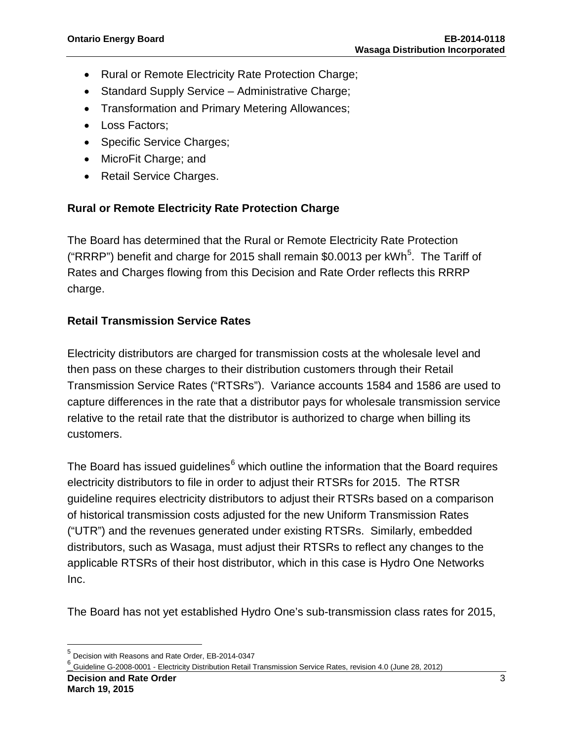- Rural or Remote Electricity Rate Protection Charge;
- Standard Supply Service Administrative Charge;
- Transformation and Primary Metering Allowances;
- Loss Factors:
- Specific Service Charges;
- MicroFit Charge; and
- Retail Service Charges.

### **Rural or Remote Electricity Rate Protection Charge**

The Board has determined that the Rural or Remote Electricity Rate Protection ("RRRP") benefit and charge for 201[5](#page-2-0) shall remain \$0.0013 per kWh<sup>5</sup>. The Tariff of Rates and Charges flowing from this Decision and Rate Order reflects this RRRP charge.

## **Retail Transmission Service Rates**

Electricity distributors are charged for transmission costs at the wholesale level and then pass on these charges to their distribution customers through their Retail Transmission Service Rates ("RTSRs"). Variance accounts 1584 and 1586 are used to capture differences in the rate that a distributor pays for wholesale transmission service relative to the retail rate that the distributor is authorized to charge when billing its customers.

The Board has issued guidelines $6$  which outline the information that the Board requires electricity distributors to file in order to adjust their RTSRs for 2015. The RTSR guideline requires electricity distributors to adjust their RTSRs based on a comparison of historical transmission costs adjusted for the new Uniform Transmission Rates ("UTR") and the revenues generated under existing RTSRs. Similarly, embedded distributors, such as Wasaga, must adjust their RTSRs to reflect any changes to the applicable RTSRs of their host distributor, which in this case is Hydro One Networks Inc.

The Board has not yet established Hydro One's sub-transmission class rates for 2015,

<span id="page-2-0"></span><sup>5</sup> Decision with Reasons and Rate Order, EB-2014-0347

<span id="page-2-1"></span><sup>6</sup> Guideline G-2008-0001 - Electricity Distribution Retail Transmission Service Rates, revision 4.0 (June 28, 2012)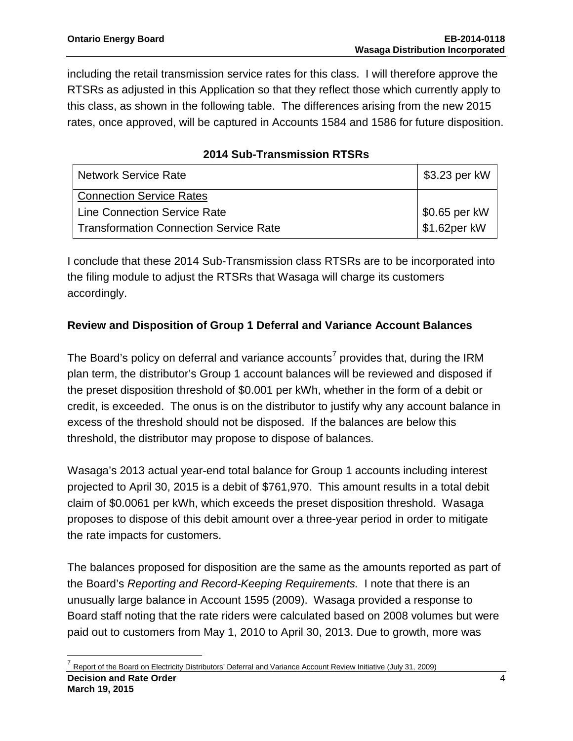including the retail transmission service rates for this class. I will therefore approve the RTSRs as adjusted in this Application so that they reflect those which currently apply to this class, as shown in the following table. The differences arising from the new 2015 rates, once approved, will be captured in Accounts 1584 and 1586 for future disposition.

| <b>Network Service Rate</b>                   | \$3.23 per kW              |
|-----------------------------------------------|----------------------------|
| <b>Connection Service Rates</b>               |                            |
| <b>Line Connection Service Rate</b>           | \$0.65 per kW              |
| <b>Transformation Connection Service Rate</b> | $\frac{1}{2}$ \$1.62per kW |

## **2014 Sub-Transmission RTSRs**

I conclude that these 2014 Sub-Transmission class RTSRs are to be incorporated into the filing module to adjust the RTSRs that Wasaga will charge its customers accordingly.

### **Review and Disposition of Group 1 Deferral and Variance Account Balances**

The Board's policy on deferral and variance accounts<sup>[7](#page-3-0)</sup> provides that, during the IRM plan term, the distributor's Group 1 account balances will be reviewed and disposed if the preset disposition threshold of \$0.001 per kWh, whether in the form of a debit or credit, is exceeded. The onus is on the distributor to justify why any account balance in excess of the threshold should not be disposed. If the balances are below this threshold, the distributor may propose to dispose of balances.

Wasaga's 2013 actual year-end total balance for Group 1 accounts including interest projected to April 30, 2015 is a debit of \$761,970. This amount results in a total debit claim of \$0.0061 per kWh, which exceeds the preset disposition threshold. Wasaga proposes to dispose of this debit amount over a three-year period in order to mitigate the rate impacts for customers.

The balances proposed for disposition are the same as the amounts reported as part of the Board's *Reporting and Record-Keeping Requirements.* I note that there is an unusually large balance in Account 1595 (2009). Wasaga provided a response to Board staff noting that the rate riders were calculated based on 2008 volumes but were paid out to customers from May 1, 2010 to April 30, 2013. Due to growth, more was

<span id="page-3-0"></span>**Decision and Rate Order** 4 **March 19, 2015** <sup>7</sup> Report of the Board on Electricity Distributors' Deferral and Variance Account Review Initiative (July 31, 2009)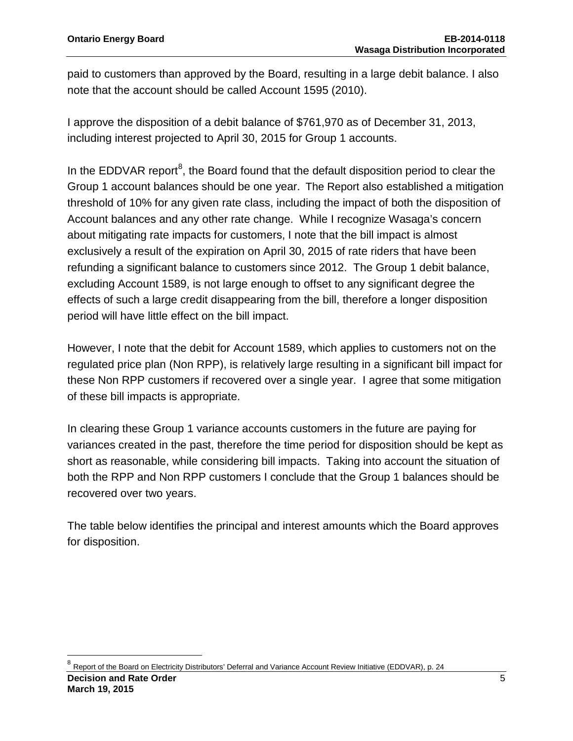paid to customers than approved by the Board, resulting in a large debit balance. I also note that the account should be called Account 1595 (2010).

I approve the disposition of a debit balance of \$761,970 as of December 31, 2013, including interest projected to April 30, 2015 for Group 1 accounts.

In the EDDVAR report<sup>[8](#page-4-0)</sup>, the Board found that the default disposition period to clear the Group 1 account balances should be one year. The Report also established a mitigation threshold of 10% for any given rate class, including the impact of both the disposition of Account balances and any other rate change. While I recognize Wasaga's concern about mitigating rate impacts for customers, I note that the bill impact is almost exclusively a result of the expiration on April 30, 2015 of rate riders that have been refunding a significant balance to customers since 2012. The Group 1 debit balance, excluding Account 1589, is not large enough to offset to any significant degree the effects of such a large credit disappearing from the bill, therefore a longer disposition period will have little effect on the bill impact.

However, I note that the debit for Account 1589, which applies to customers not on the regulated price plan (Non RPP), is relatively large resulting in a significant bill impact for these Non RPP customers if recovered over a single year. I agree that some mitigation of these bill impacts is appropriate.

In clearing these Group 1 variance accounts customers in the future are paying for variances created in the past, therefore the time period for disposition should be kept as short as reasonable, while considering bill impacts. Taking into account the situation of both the RPP and Non RPP customers I conclude that the Group 1 balances should be recovered over two years.

The table below identifies the principal and interest amounts which the Board approves for disposition.

<span id="page-4-0"></span><sup>8</sup> Report of the Board on Electricity Distributors' Deferral and Variance Account Review Initiative (EDDVAR), p. 24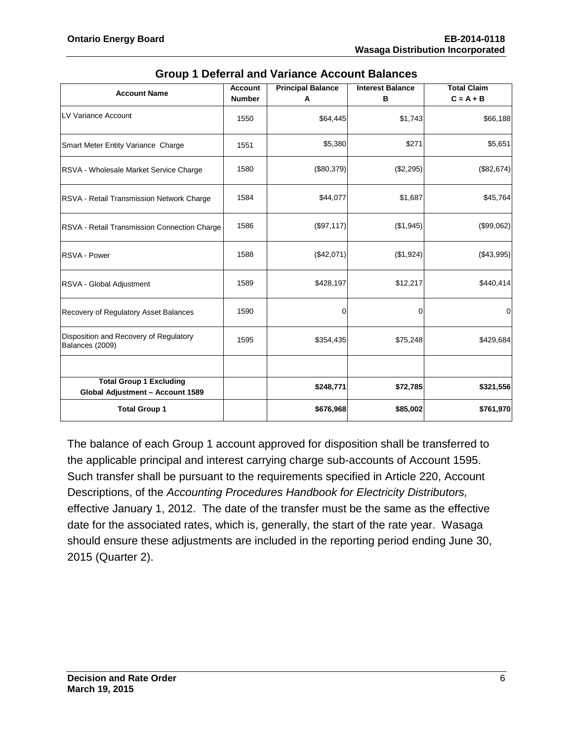| <b>Account Name</b>                                                | <b>Account</b><br><b>Number</b> | <b>Principal Balance</b><br>Α | <b>Interest Balance</b><br>в | <b>Total Claim</b><br>$C = A + B$ |
|--------------------------------------------------------------------|---------------------------------|-------------------------------|------------------------------|-----------------------------------|
| LV Variance Account                                                | 1550                            | \$64,445                      | \$1,743                      | \$66,188                          |
| Smart Meter Entity Variance Charge                                 | 1551                            | \$5,380                       | \$271                        | \$5,651                           |
| RSVA - Wholesale Market Service Charge                             | 1580                            | (\$80,379)                    | (\$2,295)                    | (\$82,674)                        |
| RSVA - Retail Transmission Network Charge                          | 1584                            | \$44,077                      | \$1,687                      | \$45,764                          |
| RSVA - Retail Transmission Connection Charge                       | 1586                            | (\$97,117)                    | (\$1,945)                    | (\$99,062)                        |
| RSVA - Power                                                       | 1588                            | (\$42,071)                    | (\$1,924)                    | (\$43,995)                        |
| RSVA - Global Adjustment                                           | 1589                            | \$428,197                     | \$12,217                     | \$440,414                         |
| Recovery of Regulatory Asset Balances                              | 1590                            | 0                             | 0                            | $\mathbf 0$                       |
| Disposition and Recovery of Regulatory<br>Balances (2009)          | 1595                            | \$354,435                     | \$75,248                     | \$429,684                         |
|                                                                    |                                 |                               |                              |                                   |
| <b>Total Group 1 Excluding</b><br>Global Adjustment - Account 1589 |                                 | \$248,771                     | \$72,785                     | \$321,556                         |
| <b>Total Group 1</b>                                               |                                 | \$676,968                     | \$85,002                     | \$761,970                         |

| <b>Group 1 Deferral and Variance Account Balances</b> |
|-------------------------------------------------------|
|-------------------------------------------------------|

The balance of each Group 1 account approved for disposition shall be transferred to the applicable principal and interest carrying charge sub-accounts of Account 1595. Such transfer shall be pursuant to the requirements specified in Article 220, Account Descriptions, of the *Accounting Procedures Handbook for Electricity Distributors,*  effective January 1, 2012. The date of the transfer must be the same as the effective date for the associated rates, which is, generally, the start of the rate year. Wasaga should ensure these adjustments are included in the reporting period ending June 30, 2015 (Quarter 2).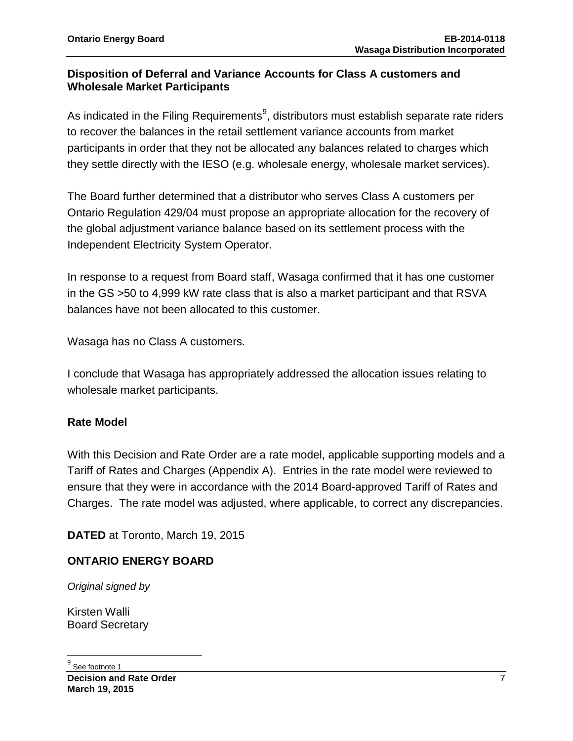### **Disposition of Deferral and Variance Accounts for Class A customers and Wholesale Market Participants**

As indicated in the Filing Requirements $9$ , distributors must establish separate rate riders to recover the balances in the retail settlement variance accounts from market participants in order that they not be allocated any balances related to charges which they settle directly with the IESO (e.g. wholesale energy, wholesale market services).

The Board further determined that a distributor who serves Class A customers per Ontario Regulation 429/04 must propose an appropriate allocation for the recovery of the global adjustment variance balance based on its settlement process with the Independent Electricity System Operator.

In response to a request from Board staff, Wasaga confirmed that it has one customer in the GS >50 to 4,999 kW rate class that is also a market participant and that RSVA balances have not been allocated to this customer.

Wasaga has no Class A customers.

I conclude that Wasaga has appropriately addressed the allocation issues relating to wholesale market participants.

### **Rate Model**

With this Decision and Rate Order are a rate model, applicable supporting models and a Tariff of Rates and Charges (Appendix A). Entries in the rate model were reviewed to ensure that they were in accordance with the 2014 Board-approved Tariff of Rates and Charges. The rate model was adjusted, where applicable, to correct any discrepancies.

**DATED** at Toronto, March 19, 2015

### **ONTARIO ENERGY BOARD**

*Original signed by*

<span id="page-6-0"></span>Kirsten Walli Board Secretary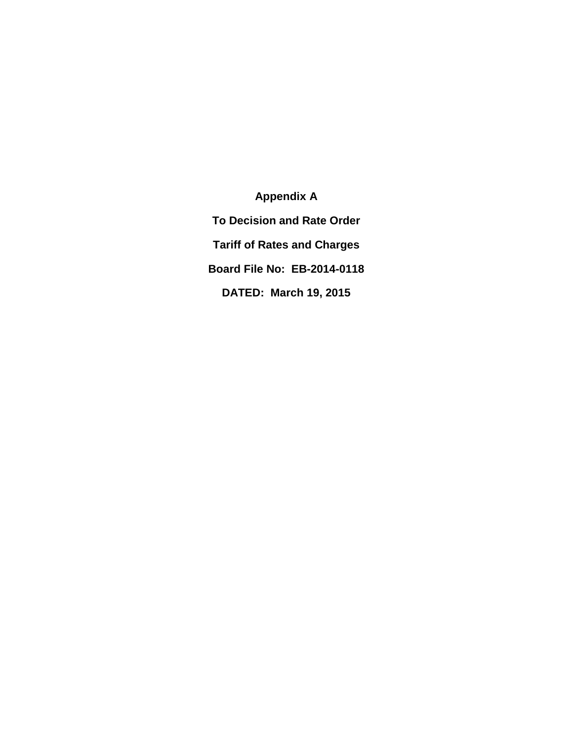**Appendix A To Decision and Rate Order Tariff of Rates and Charges Board File No: EB-2014-0118 DATED: March 19, 2015**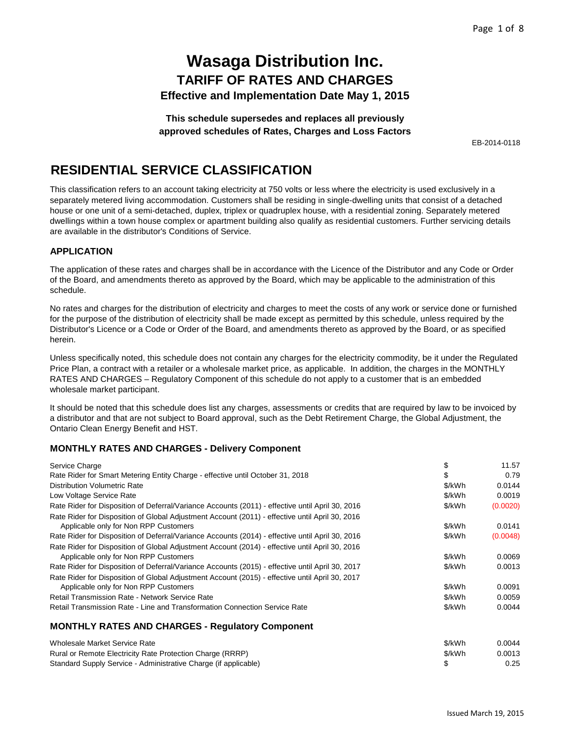**This schedule supersedes and replaces all previously approved schedules of Rates, Charges and Loss Factors**

EB-2014-0118

## **RESIDENTIAL SERVICE CLASSIFICATION**

This classification refers to an account taking electricity at 750 volts or less where the electricity is used exclusively in a separately metered living accommodation. Customers shall be residing in single-dwelling units that consist of a detached house or one unit of a semi-detached, duplex, triplex or quadruplex house, with a residential zoning. Separately metered dwellings within a town house complex or apartment building also qualify as residential customers. Further servicing details are available in the distributor's Conditions of Service.

### **APPLICATION**

The application of these rates and charges shall be in accordance with the Licence of the Distributor and any Code or Order of the Board, and amendments thereto as approved by the Board, which may be applicable to the administration of this schedule.

No rates and charges for the distribution of electricity and charges to meet the costs of any work or service done or furnished for the purpose of the distribution of electricity shall be made except as permitted by this schedule, unless required by the Distributor's Licence or a Code or Order of the Board, and amendments thereto as approved by the Board, or as specified herein.

Unless specifically noted, this schedule does not contain any charges for the electricity commodity, be it under the Regulated Price Plan, a contract with a retailer or a wholesale market price, as applicable. In addition, the charges in the MONTHLY RATES AND CHARGES – Regulatory Component of this schedule do not apply to a customer that is an embedded wholesale market participant.

It should be noted that this schedule does list any charges, assessments or credits that are required by law to be invoiced by a distributor and that are not subject to Board approval, such as the Debt Retirement Charge, the Global Adjustment, the Ontario Clean Energy Benefit and HST.

### **MONTHLY RATES AND CHARGES - Delivery Component**

Standard Supply Service - Administrative Charge (if applicable)

| Service Charge                                                                                   |        | 11.57    |
|--------------------------------------------------------------------------------------------------|--------|----------|
| Rate Rider for Smart Metering Entity Charge - effective until October 31, 2018                   |        | 0.79     |
| <b>Distribution Volumetric Rate</b>                                                              | \$/kWh | 0.0144   |
| Low Voltage Service Rate                                                                         | \$/kWh | 0.0019   |
| Rate Rider for Disposition of Deferral/Variance Accounts (2011) - effective until April 30, 2016 | \$/kWh | (0.0020) |
| Rate Rider for Disposition of Global Adjustment Account (2011) - effective until April 30, 2016  |        |          |
| Applicable only for Non RPP Customers                                                            | \$/kWh | 0.0141   |
| Rate Rider for Disposition of Deferral/Variance Accounts (2014) - effective until April 30, 2016 | \$/kWh | (0.0048) |
| Rate Rider for Disposition of Global Adjustment Account (2014) - effective until April 30, 2016  |        |          |
| Applicable only for Non RPP Customers                                                            | \$/kWh | 0.0069   |
| Rate Rider for Disposition of Deferral/Variance Accounts (2015) - effective until April 30, 2017 | \$/kWh | 0.0013   |
| Rate Rider for Disposition of Global Adjustment Account (2015) - effective until April 30, 2017  |        |          |
| Applicable only for Non RPP Customers                                                            | \$/kWh | 0.0091   |
| Retail Transmission Rate - Network Service Rate                                                  | \$/kWh | 0.0059   |
| Retail Transmission Rate - Line and Transformation Connection Service Rate                       | \$/kWh | 0.0044   |
| <b>MONTHLY RATES AND CHARGES - Regulatory Component</b>                                          |        |          |
| Wholesale Market Service Rate                                                                    | \$/kWh | 0.0044   |
| Rural or Remote Electricity Rate Protection Charge (RRRP)                                        | \$/kWh | 0.0013   |

\$ 0.25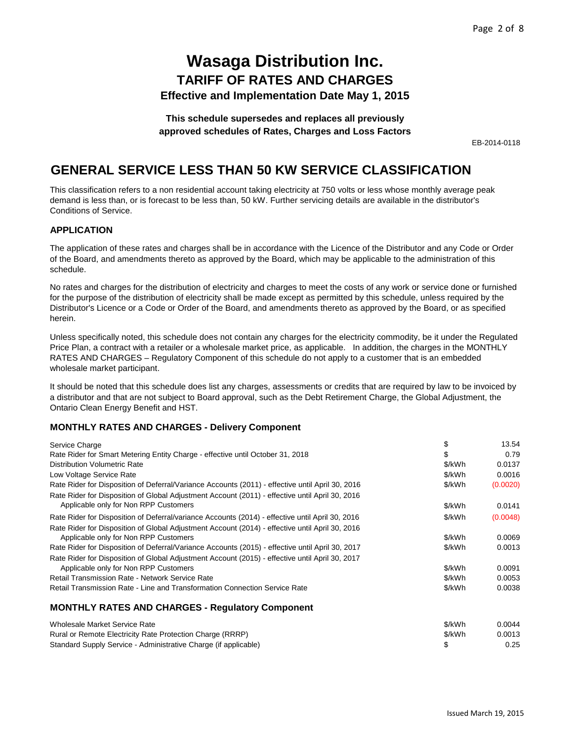**This schedule supersedes and replaces all previously approved schedules of Rates, Charges and Loss Factors**

EB-2014-0118

## **GENERAL SERVICE LESS THAN 50 KW SERVICE CLASSIFICATION**

This classification refers to a non residential account taking electricity at 750 volts or less whose monthly average peak demand is less than, or is forecast to be less than, 50 kW. Further servicing details are available in the distributor's Conditions of Service.

#### **APPLICATION**

The application of these rates and charges shall be in accordance with the Licence of the Distributor and any Code or Order of the Board, and amendments thereto as approved by the Board, which may be applicable to the administration of this schedule.

No rates and charges for the distribution of electricity and charges to meet the costs of any work or service done or furnished for the purpose of the distribution of electricity shall be made except as permitted by this schedule, unless required by the Distributor's Licence or a Code or Order of the Board, and amendments thereto as approved by the Board, or as specified herein.

Unless specifically noted, this schedule does not contain any charges for the electricity commodity, be it under the Regulated Price Plan, a contract with a retailer or a wholesale market price, as applicable. In addition, the charges in the MONTHLY RATES AND CHARGES – Regulatory Component of this schedule do not apply to a customer that is an embedded wholesale market participant.

It should be noted that this schedule does list any charges, assessments or credits that are required by law to be invoiced by a distributor and that are not subject to Board approval, such as the Debt Retirement Charge, the Global Adjustment, the Ontario Clean Energy Benefit and HST.

### **MONTHLY RATES AND CHARGES - Delivery Component**

| Service Charge                                                                                   |        | 13.54    |
|--------------------------------------------------------------------------------------------------|--------|----------|
| Rate Rider for Smart Metering Entity Charge - effective until October 31, 2018                   | \$     | 0.79     |
| <b>Distribution Volumetric Rate</b>                                                              | \$/kWh | 0.0137   |
| Low Voltage Service Rate                                                                         | \$/kWh | 0.0016   |
| Rate Rider for Disposition of Deferral/Variance Accounts (2011) - effective until April 30, 2016 | \$/kWh | (0.0020) |
| Rate Rider for Disposition of Global Adjustment Account (2011) - effective until April 30, 2016  |        |          |
| Applicable only for Non RPP Customers                                                            | \$/kWh | 0.0141   |
| Rate Rider for Disposition of Deferral/variance Accounts (2014) - effective until April 30, 2016 | \$/kWh | (0.0048) |
| Rate Rider for Disposition of Global Adjustment Account (2014) - effective until April 30, 2016  |        |          |
| Applicable only for Non RPP Customers                                                            | \$/kWh | 0.0069   |
| Rate Rider for Disposition of Deferral/Variance Accounts (2015) - effective until April 30, 2017 | \$/kWh | 0.0013   |
| Rate Rider for Disposition of Global Adjustment Account (2015) - effective until April 30, 2017  |        |          |
| Applicable only for Non RPP Customers                                                            | \$/kWh | 0.0091   |
| <b>Retail Transmission Rate - Network Service Rate</b>                                           | \$/kWh | 0.0053   |
| Retail Transmission Rate - Line and Transformation Connection Service Rate                       | \$/kWh | 0.0038   |
| <b>MONTHLY RATES AND CHARGES - Regulatory Component</b>                                          |        |          |

| Wholesale Market Service Rate                                   | \$/kWh | 0.0044 |
|-----------------------------------------------------------------|--------|--------|
| Rural or Remote Electricity Rate Protection Charge (RRRP)       | \$/kWh | 0.0013 |
| Standard Supply Service - Administrative Charge (if applicable) |        | 0.25   |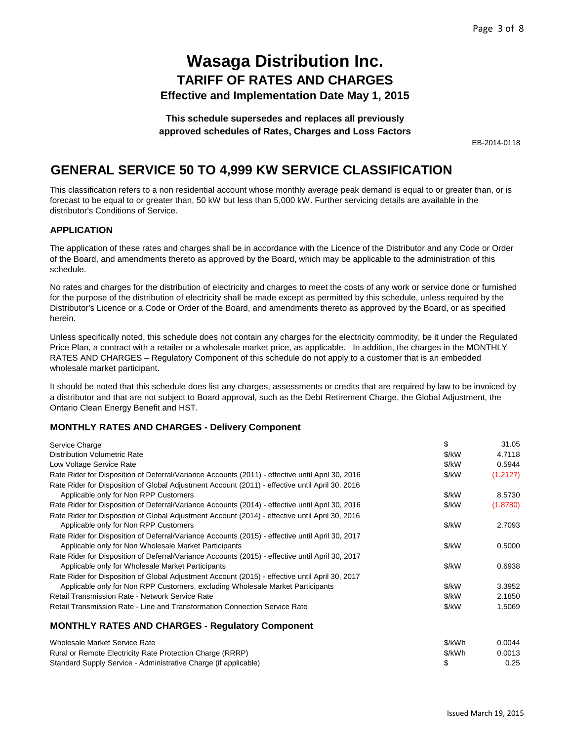### **This schedule supersedes and replaces all previously approved schedules of Rates, Charges and Loss Factors**

EB-2014-0118

# **GENERAL SERVICE 50 TO 4,999 KW SERVICE CLASSIFICATION**

This classification refers to a non residential account whose monthly average peak demand is equal to or greater than, or is forecast to be equal to or greater than, 50 kW but less than 5,000 kW. Further servicing details are available in the distributor's Conditions of Service.

### **APPLICATION**

The application of these rates and charges shall be in accordance with the Licence of the Distributor and any Code or Order of the Board, and amendments thereto as approved by the Board, which may be applicable to the administration of this schedule.

No rates and charges for the distribution of electricity and charges to meet the costs of any work or service done or furnished for the purpose of the distribution of electricity shall be made except as permitted by this schedule, unless required by the Distributor's Licence or a Code or Order of the Board, and amendments thereto as approved by the Board, or as specified herein.

Unless specifically noted, this schedule does not contain any charges for the electricity commodity, be it under the Regulated Price Plan, a contract with a retailer or a wholesale market price, as applicable. In addition, the charges in the MONTHLY RATES AND CHARGES – Regulatory Component of this schedule do not apply to a customer that is an embedded wholesale market participant.

It should be noted that this schedule does list any charges, assessments or credits that are required by law to be invoiced by a distributor and that are not subject to Board approval, such as the Debt Retirement Charge, the Global Adjustment, the Ontario Clean Energy Benefit and HST.

### **MONTHLY RATES AND CHARGES - Delivery Component**

| Service Charge                                                                                   | \$     | 31.05    |
|--------------------------------------------------------------------------------------------------|--------|----------|
| <b>Distribution Volumetric Rate</b>                                                              | \$/kW  | 4.7118   |
| Low Voltage Service Rate                                                                         | \$/kW  | 0.5944   |
| Rate Rider for Disposition of Deferral/Variance Accounts (2011) - effective until April 30, 2016 | \$/kW  | (1.2127) |
| Rate Rider for Disposition of Global Adjustment Account (2011) - effective until April 30, 2016  |        |          |
| Applicable only for Non RPP Customers                                                            | \$/kW  | 8.5730   |
| Rate Rider for Disposition of Deferral/Variance Accounts (2014) - effective until April 30, 2016 | \$/kW  | (1.8780) |
| Rate Rider for Disposition of Global Adjustment Account (2014) - effective until April 30, 2016  |        |          |
| Applicable only for Non RPP Customers                                                            | \$/kW  | 2.7093   |
| Rate Rider for Disposition of Deferral/Variance Accounts (2015) - effective until April 30, 2017 |        |          |
| Applicable only for Non Wholesale Market Participants                                            | \$/kW  | 0.5000   |
| Rate Rider for Disposition of Deferral/Variance Accounts (2015) - effective until April 30, 2017 |        |          |
| Applicable only for Wholesale Market Participants                                                | \$/kW  | 0.6938   |
| Rate Rider for Disposition of Global Adjustment Account (2015) - effective until April 30, 2017  |        |          |
| Applicable only for Non RPP Customers, excluding Wholesale Market Participants                   | \$/kW  | 3.3952   |
| <b>Retail Transmission Rate - Network Service Rate</b>                                           | \$/kW  | 2.1850   |
| Retail Transmission Rate - Line and Transformation Connection Service Rate                       | \$/kW  | 1.5069   |
| <b>MONTHLY RATES AND CHARGES - Regulatory Component</b>                                          |        |          |
| <b>Wholesale Market Service Rate</b>                                                             | \$/kWh | 0.0044   |
| Rural or Remote Electricity Rate Protection Charge (RRRP)                                        | \$/kWh | 0.0013   |
| Standard Supply Service - Administrative Charge (if applicable)                                  | \$     | 0.25     |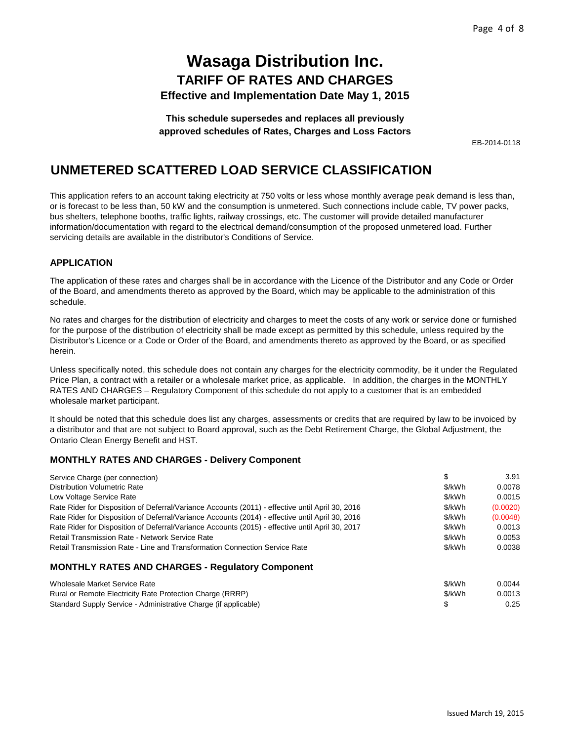**This schedule supersedes and replaces all previously approved schedules of Rates, Charges and Loss Factors**

EB-2014-0118

## **UNMETERED SCATTERED LOAD SERVICE CLASSIFICATION**

This application refers to an account taking electricity at 750 volts or less whose monthly average peak demand is less than, or is forecast to be less than, 50 kW and the consumption is unmetered. Such connections include cable, TV power packs, bus shelters, telephone booths, traffic lights, railway crossings, etc. The customer will provide detailed manufacturer information/documentation with regard to the electrical demand/consumption of the proposed unmetered load. Further servicing details are available in the distributor's Conditions of Service.

### **APPLICATION**

The application of these rates and charges shall be in accordance with the Licence of the Distributor and any Code or Order of the Board, and amendments thereto as approved by the Board, which may be applicable to the administration of this schedule.

No rates and charges for the distribution of electricity and charges to meet the costs of any work or service done or furnished for the purpose of the distribution of electricity shall be made except as permitted by this schedule, unless required by the Distributor's Licence or a Code or Order of the Board, and amendments thereto as approved by the Board, or as specified herein.

Unless specifically noted, this schedule does not contain any charges for the electricity commodity, be it under the Regulated Price Plan, a contract with a retailer or a wholesale market price, as applicable. In addition, the charges in the MONTHLY RATES AND CHARGES – Regulatory Component of this schedule do not apply to a customer that is an embedded wholesale market participant.

It should be noted that this schedule does list any charges, assessments or credits that are required by law to be invoiced by a distributor and that are not subject to Board approval, such as the Debt Retirement Charge, the Global Adjustment, the Ontario Clean Energy Benefit and HST.

### **MONTHLY RATES AND CHARGES - Delivery Component**

| Service Charge (per connection)                                                                  | \$       | 3.91     |
|--------------------------------------------------------------------------------------------------|----------|----------|
| <b>Distribution Volumetric Rate</b>                                                              | \$/kWh   | 0.0078   |
| Low Voltage Service Rate                                                                         | \$/kWh   | 0.0015   |
| Rate Rider for Disposition of Deferral/Variance Accounts (2011) - effective until April 30, 2016 | \$/kWh   | (0.0020) |
| Rate Rider for Disposition of Deferral/Variance Accounts (2014) - effective until April 30, 2016 | \$/kWh   | (0.0048) |
| Rate Rider for Disposition of Deferral/Variance Accounts (2015) - effective until April 30, 2017 | \$/kWh   | 0.0013   |
| Retail Transmission Rate - Network Service Rate                                                  | \$/kWh   | 0.0053   |
| Retail Transmission Rate - Line and Transformation Connection Service Rate                       | \$/kWh   | 0.0038   |
| <b>MONTHLY RATES AND CHARGES - Regulatory Component</b>                                          |          |          |
| Wholesale Market Service Rate                                                                    | \$/kWh   | 0.0044   |
| Rural or Remote Electricity Rate Protection Charge (RRRP)                                        | $$/k$ Wh | 0.0013   |

| Rural or Remote Electricity Rate Protection Charge (RRRP)       | \$/kWh | 0.0013 |
|-----------------------------------------------------------------|--------|--------|
| Standard Supply Service - Administrative Charge (if applicable) |        | 0.25   |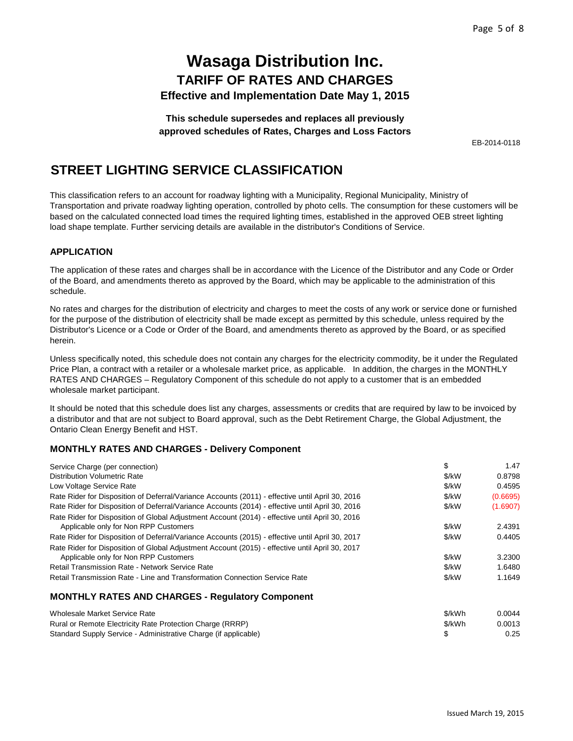**This schedule supersedes and replaces all previously approved schedules of Rates, Charges and Loss Factors**

EB-2014-0118

## **STREET LIGHTING SERVICE CLASSIFICATION**

This classification refers to an account for roadway lighting with a Municipality, Regional Municipality, Ministry of Transportation and private roadway lighting operation, controlled by photo cells. The consumption for these customers will be based on the calculated connected load times the required lighting times, established in the approved OEB street lighting load shape template. Further servicing details are available in the distributor's Conditions of Service.

### **APPLICATION**

The application of these rates and charges shall be in accordance with the Licence of the Distributor and any Code or Order of the Board, and amendments thereto as approved by the Board, which may be applicable to the administration of this schedule.

No rates and charges for the distribution of electricity and charges to meet the costs of any work or service done or furnished for the purpose of the distribution of electricity shall be made except as permitted by this schedule, unless required by the Distributor's Licence or a Code or Order of the Board, and amendments thereto as approved by the Board, or as specified herein.

Unless specifically noted, this schedule does not contain any charges for the electricity commodity, be it under the Regulated Price Plan, a contract with a retailer or a wholesale market price, as applicable. In addition, the charges in the MONTHLY RATES AND CHARGES – Regulatory Component of this schedule do not apply to a customer that is an embedded wholesale market participant.

It should be noted that this schedule does list any charges, assessments or credits that are required by law to be invoiced by a distributor and that are not subject to Board approval, such as the Debt Retirement Charge, the Global Adjustment, the Ontario Clean Energy Benefit and HST.

### **MONTHLY RATES AND CHARGES - Delivery Component**

Standard Supply Service - Administrative Charge (if applicable)

| Service Charge (per connection)                                                                  | \$     | 1.47     |
|--------------------------------------------------------------------------------------------------|--------|----------|
| <b>Distribution Volumetric Rate</b>                                                              | \$/kW  | 0.8798   |
| Low Voltage Service Rate                                                                         | \$/kW  | 0.4595   |
| Rate Rider for Disposition of Deferral/Variance Accounts (2011) - effective until April 30, 2016 | \$/kW  | (0.6695) |
| Rate Rider for Disposition of Deferral/Variance Accounts (2014) - effective until April 30, 2016 | \$/kW  | (1.6907) |
| Rate Rider for Disposition of Global Adjustment Account (2014) - effective until April 30, 2016  |        |          |
| Applicable only for Non RPP Customers                                                            | \$/kW  | 2.4391   |
| Rate Rider for Disposition of Deferral/Variance Accounts (2015) - effective until April 30, 2017 | \$/kW  | 0.4405   |
| Rate Rider for Disposition of Global Adjustment Account (2015) - effective until April 30, 2017  |        |          |
| Applicable only for Non RPP Customers                                                            | \$/kW  | 3.2300   |
| Retail Transmission Rate - Network Service Rate                                                  | \$/kW  | 1.6480   |
| Retail Transmission Rate - Line and Transformation Connection Service Rate                       | \$/kW  | 1.1649   |
| <b>MONTHLY RATES AND CHARGES - Regulatory Component</b>                                          |        |          |
| Wholesale Market Service Rate                                                                    | \$/kWh | 0.0044   |
| Rural or Remote Electricity Rate Protection Charge (RRRP)                                        | \$/kWh | 0.0013   |

\$ 0.25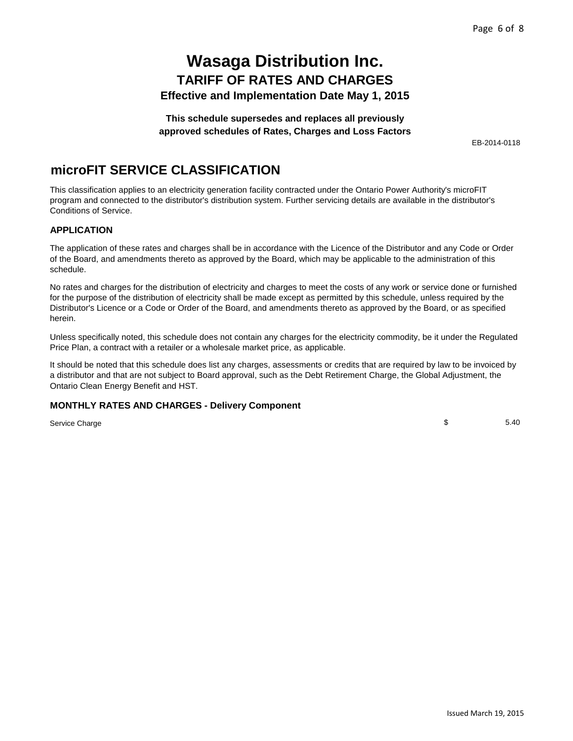**This schedule supersedes and replaces all previously approved schedules of Rates, Charges and Loss Factors**

EB-2014-0118

## **microFIT SERVICE CLASSIFICATION**

This classification applies to an electricity generation facility contracted under the Ontario Power Authority's microFIT program and connected to the distributor's distribution system. Further servicing details are available in the distributor's Conditions of Service.

### **APPLICATION**

The application of these rates and charges shall be in accordance with the Licence of the Distributor and any Code or Order of the Board, and amendments thereto as approved by the Board, which may be applicable to the administration of this schedule.

No rates and charges for the distribution of electricity and charges to meet the costs of any work or service done or furnished for the purpose of the distribution of electricity shall be made except as permitted by this schedule, unless required by the Distributor's Licence or a Code or Order of the Board, and amendments thereto as approved by the Board, or as specified herein.

Unless specifically noted, this schedule does not contain any charges for the electricity commodity, be it under the Regulated Price Plan, a contract with a retailer or a wholesale market price, as applicable.

It should be noted that this schedule does list any charges, assessments or credits that are required by law to be invoiced by a distributor and that are not subject to Board approval, such as the Debt Retirement Charge, the Global Adjustment, the Ontario Clean Energy Benefit and HST.

### **MONTHLY RATES AND CHARGES - Delivery Component**

Service Charge

\$ 5.40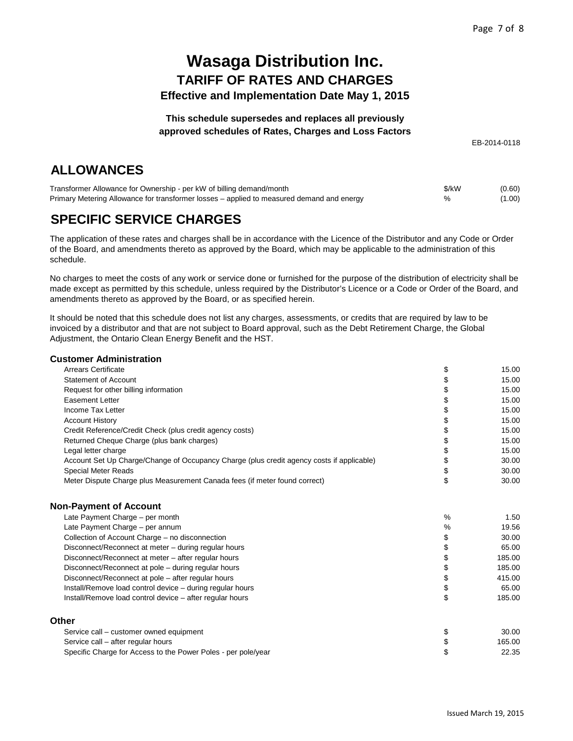### **This schedule supersedes and replaces all previously approved schedules of Rates, Charges and Loss Factors**

EB-2014-0118

# **ALLOWANCES**

| Transformer Allowance for Ownership - per kW of billing demand/month                      | \$/kW | (0.60) |
|-------------------------------------------------------------------------------------------|-------|--------|
| Primary Metering Allowance for transformer losses – applied to measured demand and energy |       | (1.00) |

# **SPECIFIC SERVICE CHARGES**

The application of these rates and charges shall be in accordance with the Licence of the Distributor and any Code or Order of the Board, and amendments thereto as approved by the Board, which may be applicable to the administration of this schedule.

No charges to meet the costs of any work or service done or furnished for the purpose of the distribution of electricity shall be made except as permitted by this schedule, unless required by the Distributor's Licence or a Code or Order of the Board, and amendments thereto as approved by the Board, or as specified herein.

It should be noted that this schedule does not list any charges, assessments, or credits that are required by law to be invoiced by a distributor and that are not subject to Board approval, such as the Debt Retirement Charge, the Global Adjustment, the Ontario Clean Energy Benefit and the HST.

#### **Customer Administration**

| Arrears Certificate                                                                       | \$   | 15.00  |
|-------------------------------------------------------------------------------------------|------|--------|
| <b>Statement of Account</b>                                                               | \$   | 15.00  |
| Request for other billing information                                                     | \$   | 15.00  |
| <b>Easement Letter</b>                                                                    | \$   | 15.00  |
| Income Tax Letter                                                                         | \$   | 15.00  |
| <b>Account History</b>                                                                    | \$   | 15.00  |
| Credit Reference/Credit Check (plus credit agency costs)                                  | \$   | 15.00  |
| Returned Cheque Charge (plus bank charges)                                                | \$   | 15.00  |
| Legal letter charge                                                                       | \$   | 15.00  |
| Account Set Up Charge/Change of Occupancy Charge (plus credit agency costs if applicable) | \$   | 30.00  |
| <b>Special Meter Reads</b>                                                                | \$   | 30.00  |
| Meter Dispute Charge plus Measurement Canada fees (if meter found correct)                | \$   | 30.00  |
| <b>Non-Payment of Account</b>                                                             |      |        |
| Late Payment Charge - per month                                                           | $\%$ | 1.50   |
| Late Payment Charge - per annum                                                           | %    | 19.56  |
| Collection of Account Charge – no disconnection                                           | \$   | 30.00  |
| Disconnect/Reconnect at meter – during regular hours                                      | \$   | 65.00  |
| Disconnect/Reconnect at meter - after regular hours                                       | \$   | 185.00 |
| Disconnect/Reconnect at pole - during regular hours                                       | \$   | 185.00 |
| Disconnect/Reconnect at pole - after regular hours                                        | \$   | 415.00 |
| Install/Remove load control device - during regular hours                                 | \$   | 65.00  |
| Install/Remove load control device - after regular hours                                  | \$   | 185.00 |
| Other                                                                                     |      |        |
| Service call – customer owned equipment                                                   | \$   | 30.00  |
| Service call - after regular hours                                                        | \$   | 165.00 |
| Specific Charge for Access to the Power Poles - per pole/year                             | \$   | 22.35  |